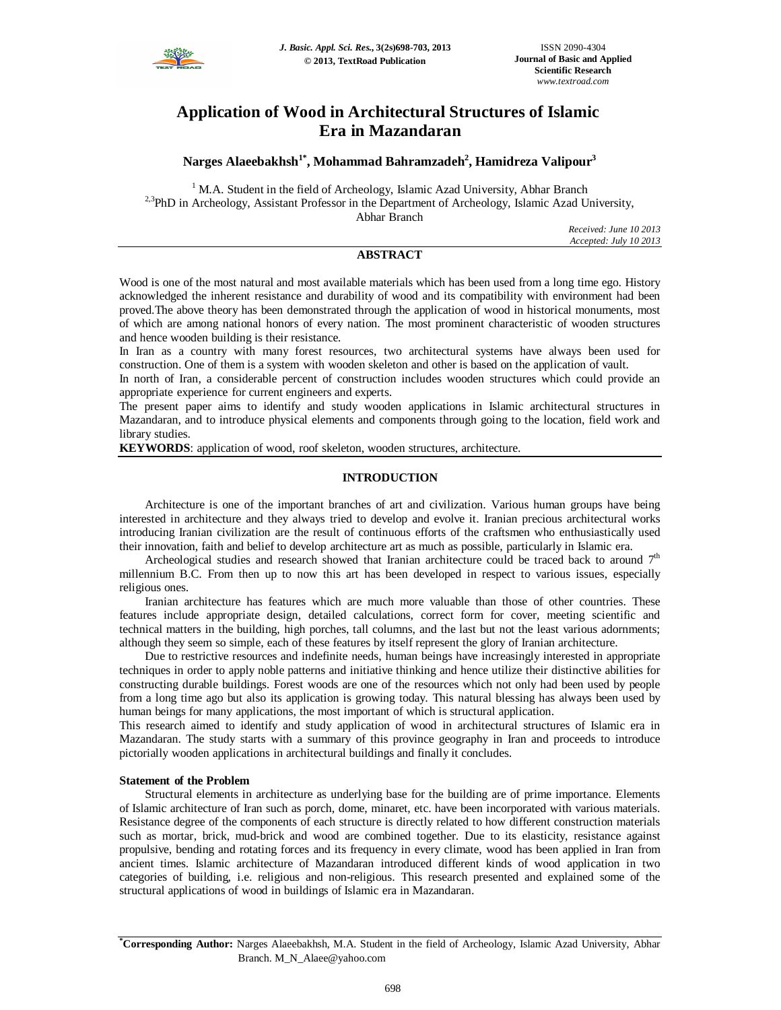

# **Application of Wood in Architectural Structures of Islamic Era in Mazandaran**

# **Narges Alaeebakhsh1\*, Mohammad Bahramzadeh<sup>2</sup> , Hamidreza Valipour<sup>3</sup>**

<sup>1</sup> M.A. Student in the field of Archeology, Islamic Azad University, Abhar Branch <sup>2,3</sup>PhD in Archeology, Assistant Professor in the Department of Archeology, Islamic Azad University, Abhar Branch

> *Received: June 10 2013 Accepted: July 10 2013*

# **ABSTRACT**

Wood is one of the most natural and most available materials which has been used from a long time ego. History acknowledged the inherent resistance and durability of wood and its compatibility with environment had been proved.The above theory has been demonstrated through the application of wood in historical monuments, most of which are among national honors of every nation. The most prominent characteristic of wooden structures and hence wooden building is their resistance.

In Iran as a country with many forest resources, two architectural systems have always been used for construction. One of them is a system with wooden skeleton and other is based on the application of vault.

In north of Iran, a considerable percent of construction includes wooden structures which could provide an appropriate experience for current engineers and experts.

The present paper aims to identify and study wooden applications in Islamic architectural structures in Mazandaran, and to introduce physical elements and components through going to the location, field work and library studies.

**KEYWORDS**: application of wood, roof skeleton, wooden structures, architecture.

# **INTRODUCTION**

Architecture is one of the important branches of art and civilization. Various human groups have being interested in architecture and they always tried to develop and evolve it. Iranian precious architectural works introducing Iranian civilization are the result of continuous efforts of the craftsmen who enthusiastically used their innovation, faith and belief to develop architecture art as much as possible, particularly in Islamic era.

Archeological studies and research showed that Iranian architecture could be traced back to around  $7<sup>th</sup>$ millennium B.C. From then up to now this art has been developed in respect to various issues, especially religious ones.

Iranian architecture has features which are much more valuable than those of other countries. These features include appropriate design, detailed calculations, correct form for cover, meeting scientific and technical matters in the building, high porches, tall columns, and the last but not the least various adornments; although they seem so simple, each of these features by itself represent the glory of Iranian architecture.

Due to restrictive resources and indefinite needs, human beings have increasingly interested in appropriate techniques in order to apply noble patterns and initiative thinking and hence utilize their distinctive abilities for constructing durable buildings. Forest woods are one of the resources which not only had been used by people from a long time ago but also its application is growing today. This natural blessing has always been used by human beings for many applications, the most important of which is structural application.

This research aimed to identify and study application of wood in architectural structures of Islamic era in Mazandaran. The study starts with a summary of this province geography in Iran and proceeds to introduce pictorially wooden applications in architectural buildings and finally it concludes.

## **Statement of the Problem**

Structural elements in architecture as underlying base for the building are of prime importance. Elements of Islamic architecture of Iran such as porch, dome, minaret, etc. have been incorporated with various materials. Resistance degree of the components of each structure is directly related to how different construction materials such as mortar, brick, mud-brick and wood are combined together. Due to its elasticity, resistance against propulsive, bending and rotating forces and its frequency in every climate, wood has been applied in Iran from ancient times. Islamic architecture of Mazandaran introduced different kinds of wood application in two categories of building, i.e. religious and non-religious. This research presented and explained some of the structural applications of wood in buildings of Islamic era in Mazandaran.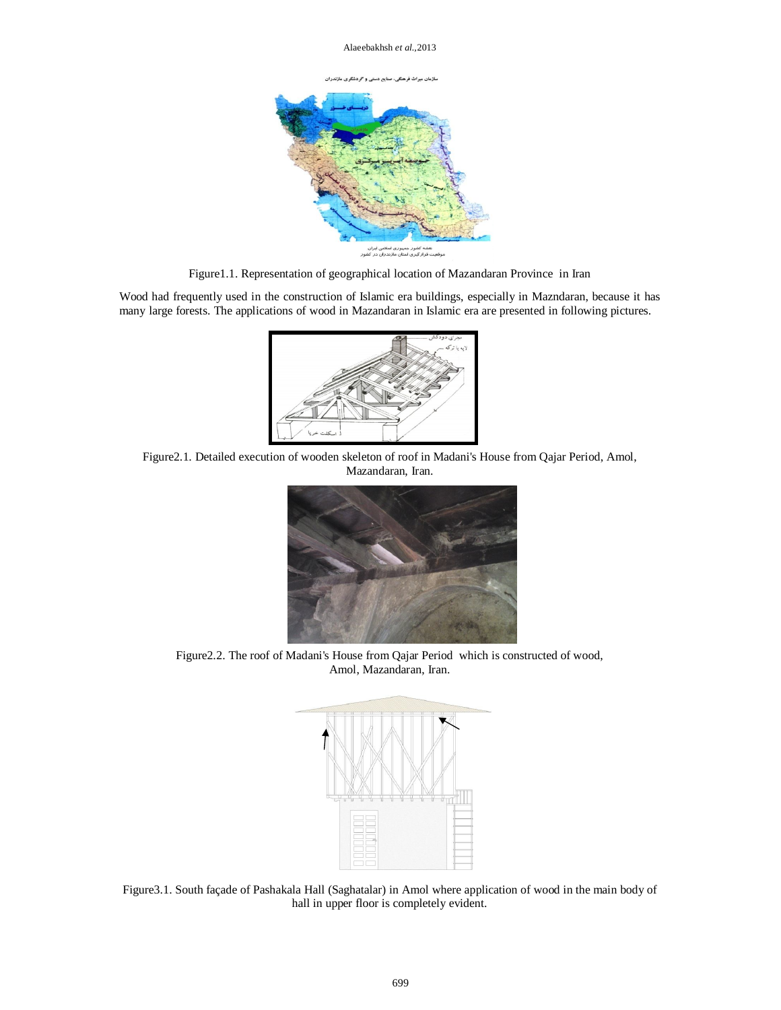#### Alaeebakhsh *et al.,*2013



Figure1.1. Representation of geographical location of Mazandaran Province in Iran

Wood had frequently used in the construction of Islamic era buildings, especially in Mazndaran, because it has many large forests. The applications of wood in Mazandaran in Islamic era are presented in following pictures.



Figure2.1. Detailed execution of wooden skeleton of roof in Madani's House from Qajar Period, Amol, Mazandaran, Iran.



Figure2.2. The roof of Madani's House from Qajar Period which is constructed of wood, Amol, Mazandaran, Iran.



Figure3.1. South façade of Pashakala Hall (Saghatalar) in Amol where application of wood in the main body of hall in upper floor is completely evident.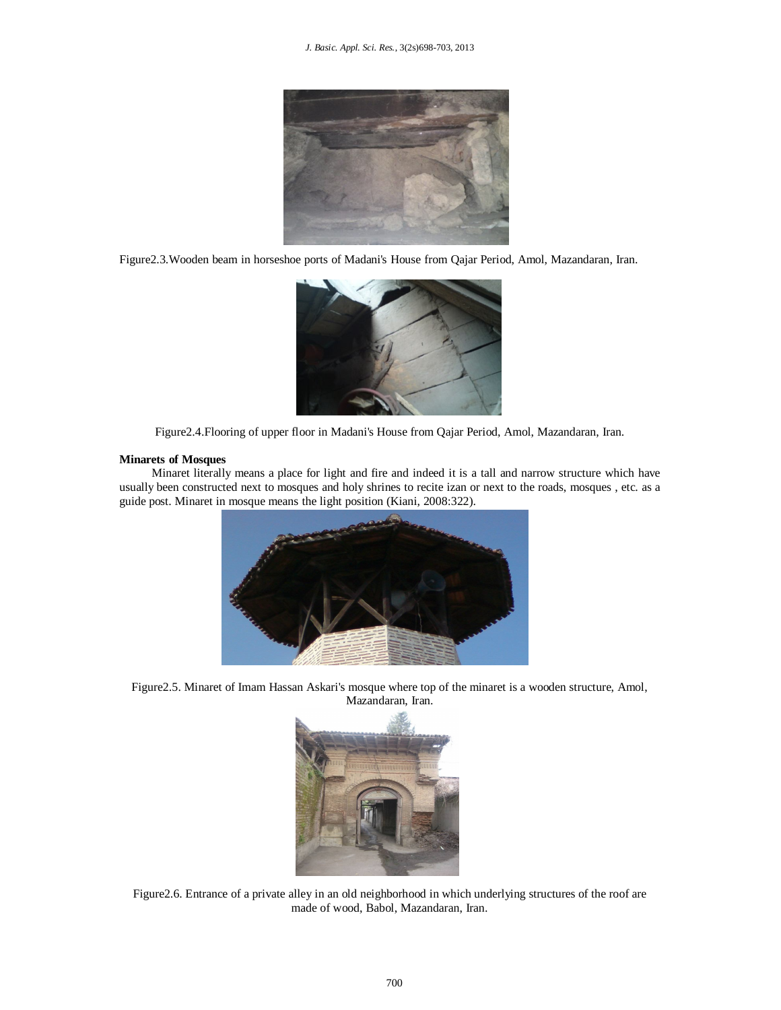

Figure2.3.Wooden beam in horseshoe ports of Madani's House from Qajar Period, Amol, Mazandaran, Iran.



Figure2.4.Flooring of upper floor in Madani's House from Qajar Period, Amol, Mazandaran, Iran.

# **Minarets of Mosques**

Minaret literally means a place for light and fire and indeed it is a tall and narrow structure which have usually been constructed next to mosques and holy shrines to recite izan or next to the roads, mosques , etc. as a guide post. Minaret in mosque means the light position (Kiani, 2008:322).



Figure2.5. Minaret of Imam Hassan Askari's mosque where top of the minaret is a wooden structure, Amol, Mazandaran, Iran.



Figure2.6. Entrance of a private alley in an old neighborhood in which underlying structures of the roof are made of wood, Babol, Mazandaran, Iran.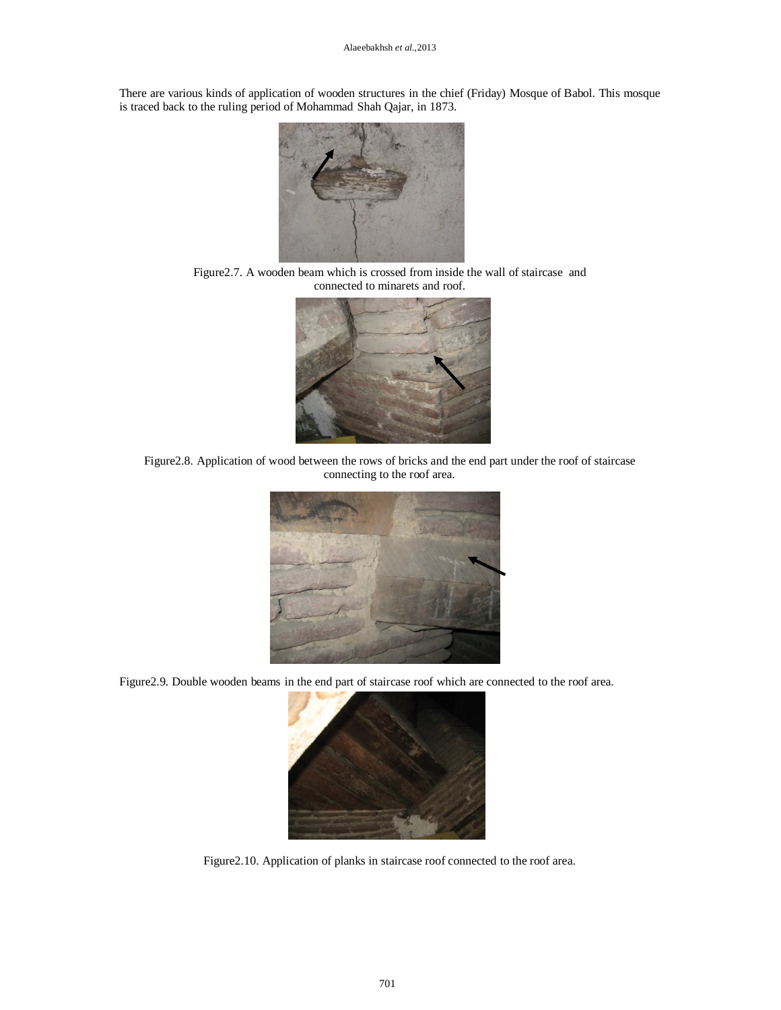There are various kinds of application of wooden structures in the chief (Friday) Mosque of Babol. This mosque is traced back to the ruling period of Mohammad Shah Qajar, in 1873.



Figure2.7. A wooden beam which is crossed from inside the wall of staircase and connected to minarets and roof.



Figure2.8. Application of wood between the rows of bricks and the end part under the roof of staircase connecting to the roof area.



Figure2.9. Double wooden beams in the end part of staircase roof which are connected to the roof area.



Figure2.10. Application of planks in staircase roof connected to the roof area.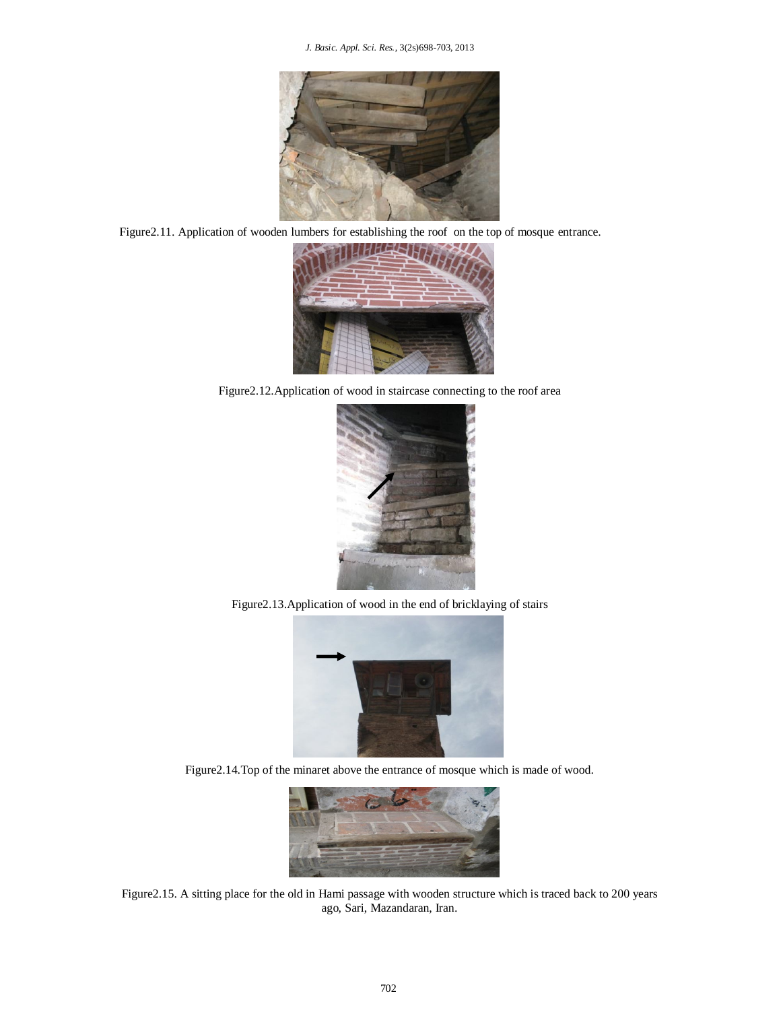*J. Basic. Appl. Sci. Res.*, 3(2s)698-703, 2013



Figure2.11. Application of wooden lumbers for establishing the roof on the top of mosque entrance.



Figure2.12.Application of wood in staircase connecting to the roof area



Figure2.13.Application of wood in the end of bricklaying of stairs



Figure2.14.Top of the minaret above the entrance of mosque which is made of wood.



Figure2.15. A sitting place for the old in Hami passage with wooden structure which is traced back to 200 years ago, Sari, Mazandaran, Iran.